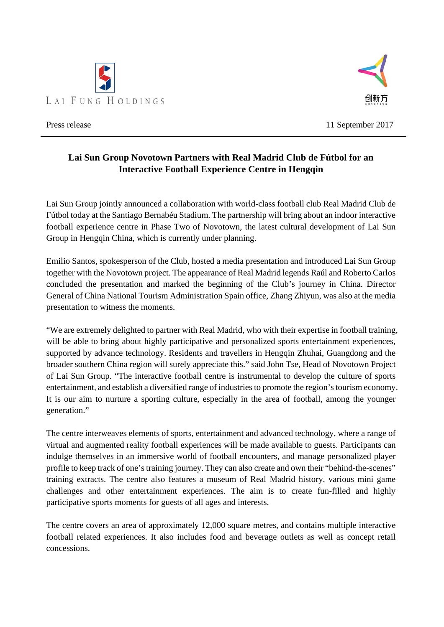



Press release 11 September 2017

## **Lai Sun Group Novotown Partners with Real Madrid Club de Fútbol for an Interactive Football Experience Centre in Hengqin**

Lai Sun Group jointly announced a collaboration with world-class football club Real Madrid Club de Fútbol today at the Santiago Bernabéu Stadium. The partnership will bring about an indoor interactive football experience centre in Phase Two of Novotown, the latest cultural development of Lai Sun Group in Hengqin China, which is currently under planning.

Emilio Santos, spokesperson of the Club, hosted a media presentation and introduced Lai Sun Group together with the Novotown project. The appearance of Real Madrid legends Raúl and Roberto Carlos concluded the presentation and marked the beginning of the Club's journey in China. Director General of China National Tourism Administration Spain office, Zhang Zhiyun, was also at the media presentation to witness the moments.

"We are extremely delighted to partner with Real Madrid, who with their expertise in football training, will be able to bring about highly participative and personalized sports entertainment experiences, supported by advance technology. Residents and travellers in Hengqin Zhuhai, Guangdong and the broader southern China region will surely appreciate this." said John Tse, Head of Novotown Project of Lai Sun Group. "The interactive football centre is instrumental to develop the culture of sports entertainment, and establish a diversified range of industries to promote the region's tourism economy. It is our aim to nurture a sporting culture, especially in the area of football, among the younger generation."

The centre interweaves elements of sports, entertainment and advanced technology, where a range of virtual and augmented reality football experiences will be made available to guests. Participants can indulge themselves in an immersive world of football encounters, and manage personalized player profile to keep track of one's training journey. They can also create and own their "behind-the-scenes" training extracts. The centre also features a museum of Real Madrid history, various mini game challenges and other entertainment experiences. The aim is to create fun-filled and highly participative sports moments for guests of all ages and interests.

The centre covers an area of approximately 12,000 square metres, and contains multiple interactive football related experiences. It also includes food and beverage outlets as well as concept retail concessions.